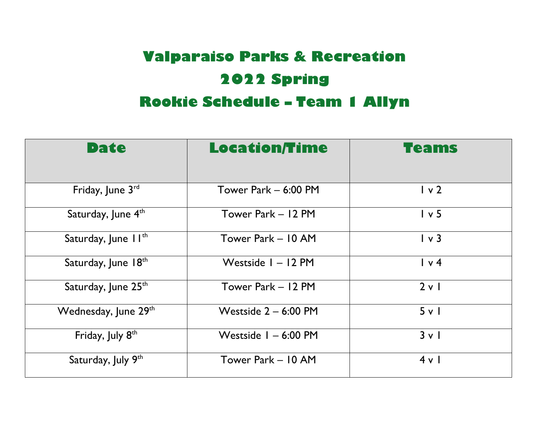## **Valparaiso Parks & Recreation 2022 Spring**

### **Rookie Schedule – Team 1 Allyn**

| Date                            | <b>Location/Time</b>   | <b>Teams</b>   |
|---------------------------------|------------------------|----------------|
|                                 |                        |                |
| Friday, June 3rd                | Tower Park - 6:00 PM   | 1 <sub>v</sub> |
| Saturday, June 4th              | Tower Park - 12 PM     | 1 v 5          |
| Saturday, June II <sup>th</sup> | Tower Park – 10 AM     | $\sqrt{3}$     |
| Saturday, June 18th             | Westside $I - I2$ PM   | $\sqrt{4}$     |
| Saturday, June 25th             | Tower Park - 12 PM     | 2 v 1          |
| Wednesday, June 29th            | Westside $2 - 6:00$ PM | 5 v l          |
| Friday, July 8 <sup>th</sup>    | Westside $I - 6:00$ PM | 3 v 1          |
| Saturday, July 9th              | Tower Park - 10 AM     | 4 v l          |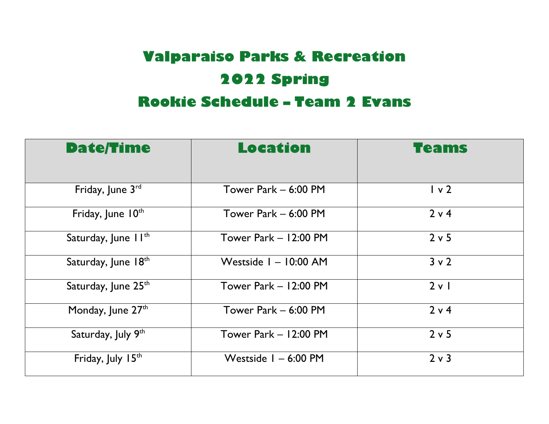## **Valparaiso Parks & Recreation 2022 Spring**

#### **Rookie Schedule – Team 2 Evans**

| <b>Date/Time</b>                | <b>Location</b>         | <b>Teams</b> |
|---------------------------------|-------------------------|--------------|
| Friday, June $3^{rd}$           | Tower Park - 6:00 PM    | 1 v 2        |
| Friday, June 10th               | Tower Park - 6:00 PM    | 2 v 4        |
| Saturday, June II <sup>th</sup> | Tower Park $-12:00$ PM  | 2 v 5        |
| Saturday, June 18th             | Westside $I - 10:00$ AM | $3 \vee 2$   |
| Saturday, June 25 <sup>th</sup> | Tower Park - 12:00 PM   | 2 v 1        |
| Monday, June $27th$             | Tower Park - 6:00 PM    | 2 v 4        |
| Saturday, July 9th              | Tower Park - 12:00 PM   | 2 v 5        |
| Friday, July 15th               | Westside $I - 6:00$ PM  | $2 \vee 3$   |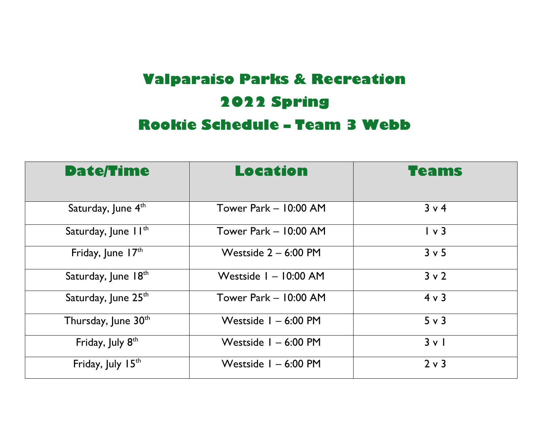## **Valparaiso Parks & Recreation 2022 Spring Rookie Schedule – Team 3 Webb**

| <b>Date/Time</b>                | Location                | Teams      |
|---------------------------------|-------------------------|------------|
|                                 |                         |            |
| Saturday, June 4th              | Tower Park - 10:00 AM   | $3 \vee 4$ |
| Saturday, June II <sup>th</sup> | Tower Park - 10:00 AM   | $\sqrt{3}$ |
| Friday, June $17th$             | Westside $2 - 6:00$ PM  | $3 \vee 5$ |
| Saturday, June 18th             | Westside $I - 10:00$ AM | $3 \vee 2$ |
| Saturday, June 25 <sup>th</sup> | Tower Park - 10:00 AM   | $4 \vee 3$ |
| Thursday, June 30 <sup>th</sup> | Westside $I - 6:00$ PM  | $5 \vee 3$ |
| Friday, July 8 <sup>th</sup>    | Westside $I - 6:00$ PM  | $3 \vee$   |
| Friday, July 15th               | Westside $I - 6:00$ PM  | $2 \vee 3$ |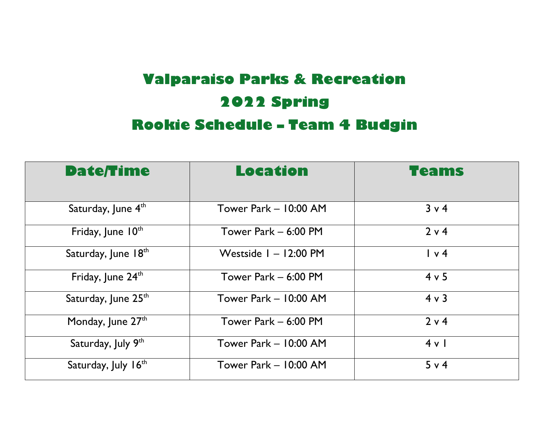## **Valparaiso Parks & Recreation 2022 Spring Rookie Schedule – Team 4 Budgin**

| <b>Date/Time</b>                | <b>Location</b>       | Teams      |
|---------------------------------|-----------------------|------------|
|                                 |                       |            |
| Saturday, June 4 <sup>th</sup>  | Tower Park - 10:00 AM | $3 \vee 4$ |
| Friday, June 10th               | Tower Park - 6:00 PM  | $2 \vee 4$ |
| Saturday, June 18th             | Westside I - 12:00 PM | $\sqrt{4}$ |
| Friday, June 24th               | Tower Park - 6:00 PM  | $4 \vee 5$ |
| Saturday, June 25th             | Tower Park - 10:00 AM | $4 \vee 3$ |
| Monday, June 27th               | Tower Park - 6:00 PM  | 2 v 4      |
| Saturday, July 9th              | Tower Park - 10:00 AM | 4 v l      |
| Saturday, July 16 <sup>th</sup> | Tower Park - 10:00 AM | 5 v 4      |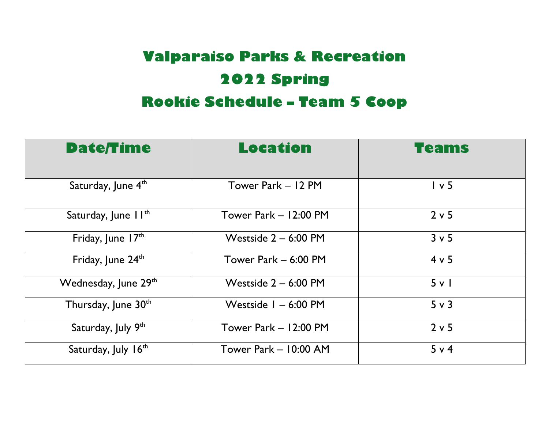# **Valparaiso Parks & Recreation 2022 Spring**

#### **Rookie Schedule – Team 5 Coop**

| <b>Date/Time</b>                | <b>Location</b>        | <b>Teams</b> |
|---------------------------------|------------------------|--------------|
| Saturday, June 4 <sup>th</sup>  | Tower Park – 12 PM     | 1 v 5        |
| Saturday, June II <sup>th</sup> | Tower Park $-12:00$ PM | 2 v 5        |
| Friday, June 17th               | Westside $2 - 6:00$ PM | $3 \vee 5$   |
| Friday, June 24th               | Tower Park $-6:00$ PM  | 4 v 5        |
| Wednesday, June 29th            | Westside $2 - 6:00$ PM | 5 v l        |
| Thursday, June 30th             | Westside $I - 6:00$ PM | $5 \vee 3$   |
| Saturday, July 9th              | Tower Park $-12:00$ PM | $2 \vee 5$   |
| Saturday, July 16 <sup>th</sup> | Tower Park - 10:00 AM  | 5 v 4        |